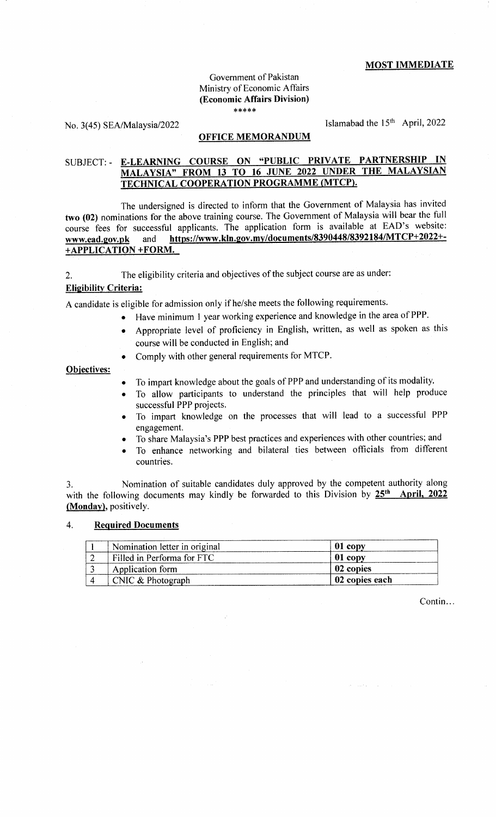### MOST IMMEDIATE

#### Govemment of Pakistan Ministry of Economic Affairs (Econom ic Affairs Division) \*\*\*\*\*

No. 3(45) SEA/Malaysia/2022 Islamabad the  $15<sup>th</sup>$  April, 2022

### OFFICE MEMORANDUM

# SUBJECT: - E-LEARNING COURSE ON "PUBLIC PRIVATE PARTNERSHIP IN MALAYSIA" FROM 13 TO 16 JUNE 2022 UNDER THE MALAYSIAN TECHNICAL COOPERATION PROGRAMME (MTCP).

The undersigned is directed to inform that the Government of Malaysia has invited two (02) nominations for the above training course. The Covernment of Malaysia will bear the full course fees for successful applicants. The application form is available at EAD's website: www.ead.gov.pk and https://www.kln.gov.my/documents/8390448/8392184/MTCP+2022+-+ APPLICATION + FORM.

2. The eligibility criteria and objectives of the subject course are as under:

# **Eligibility Criteria:**

A candidate is eligible for admission only if he/she meets the following requirements.

- Have minimum 1 year working experience and knowledge in the area of PPP.
	- . Appropriate level of proficiency in English, written, as well as spoken as this course will be conducted in English; and
	- Comply with other general requirements for MTCP.

### Obiectives:

- To impart knowledge about the goals of PPP and understanding of its modality.
- To allow participants to understand the principles that will help produce successful PPP projects.
- To impart knowledge on the processes that will lead to a successful PPP engagement.
- To share Malaysia's PPP best practices and experiences with other countries; and
- To enhance networking and bilateral ties between officials from different countries.

3. Nomination of suitable candidates duly approved by the competent authority along with the following documents may kindly be forwarded to this Division by 25<sup>th</sup> April, 2022 (Monday), positively.

#### 4. Required Documents

| Nomination letter in original | 01 copy        |
|-------------------------------|----------------|
| Filled in Performa for FTC    | 01 copy        |
| Application form              | 02 copies      |
| CNIC & Photograph             | 02 copies each |

Contin...